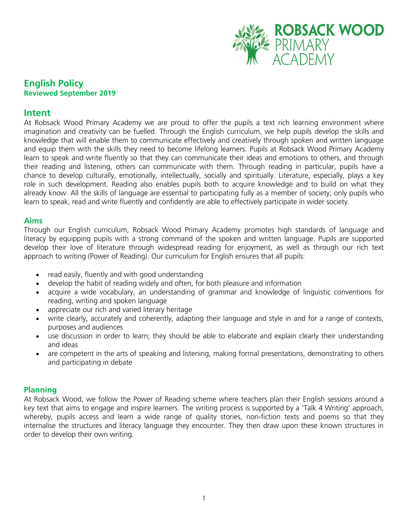

# **English Policy Reviewed September 2019**

### **Intent**

At Robsack Wood Primary Academy we are proud to offer the pupils a text rich learning environment where imagination and creativity can be fuelled. Through the English curriculum, we help pupils develop the skills and knowledge that will enable them to communicate effectively and creatively through spoken and written language and equip them with the skills they need to become lifelong learners. Pupils at Robsack Wood Primary Academy learn to speak and write fluently so that they can communicate their ideas and emotions to others, and through their reading and listening, others can communicate with them. Through reading in particular, pupils have a chance to develop culturally, emotionally, intellectually, socially and spiritually. Literature, especially, plays a key role in such development. Reading also enables pupils both to acquire knowledge and to build on what they already know. All the skills of language are essential to participating fully as a member of society; only pupils who learn to speak, read and write fluently and confidently are able to effectively participate in wider society.

#### **Aims**

Through our English curriculum, Robsack Wood Primary Academy promotes high standards of language and literacy by equipping pupils with a strong command of the spoken and written language. Pupils are supported develop their love of literature through widespread reading for enjoyment, as well as through our rich text approach to writing (Power of Reading). Our curriculum for English ensures that all pupils:

- read easily, fluently and with good understanding
- develop the habit of reading widely and often, for both pleasure and information
- acquire a wide vocabulary, an understanding of grammar and knowledge of linguistic conventions for reading, writing and spoken language
- appreciate our rich and varied literary heritage
- write clearly, accurately and coherently, adapting their language and style in and for a range of contexts. purposes and audiences
- use discussion in order to learn; they should be able to elaborate and explain clearly their understanding and ideas
- are competent in the arts of speaking and listening, making formal presentations, demonstrating to others and participating in debate

#### **Planning**

At Robsack Wood, we follow the Power of Reading scheme where teachers plan their English sessions around a key text that aims to engage and inspire learners. The writing process is supported by a 'Talk 4 Writing' approach, whereby, pupils access and learn a wide range of quality stories, non-fiction texts and poems so that they internalise the structures and literacy language they encounter. They then draw upon these known structures in order to develop their own writing.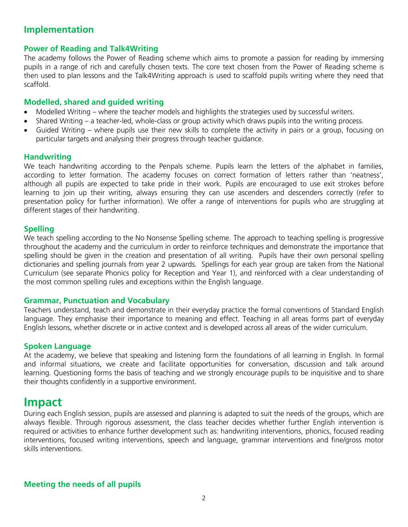# **Implementation**

# **Power of Reading and Talk4Writing**

The academy follows the Power of Reading scheme which aims to promote a passion for reading by immersing pupils in a range of rich and carefully chosen texts. The core text chosen from the Power of Reading scheme is then used to plan lessons and the Talk4Writing approach is used to scaffold pupils writing where they need that scaffold.

#### **Modelled, shared and guided writing**

- Modelled Writing where the teacher models and highlights the strategies used by successful writers.
- Shared Writing a teacher-led, whole-class or group activity which draws pupils into the writing process.
- Guided Writing where pupils use their new skills to complete the activity in pairs or a group, focusing on particular targets and analysing their progress through teacher guidance.

#### **Handwriting**

We teach handwriting according to the Penpals scheme. Pupils learn the letters of the alphabet in families, according to letter formation. The academy focuses on correct formation of letters rather than 'neatness', although all pupils are expected to take pride in their work. Pupils are encouraged to use exit strokes before learning to join up their writing, always ensuring they can use ascenders and descenders correctly (refer to presentation policy for further information). We offer a range of interventions for pupils who are struggling at different stages of their handwriting.

#### **Spelling**

We teach spelling according to the No Nonsense Spelling scheme. The approach to teaching spelling is progressive throughout the academy and the curriculum in order to reinforce techniques and demonstrate the importance that spelling should be given in the creation and presentation of all writing. Pupils have their own personal spelling dictionaries and spelling journals from year 2 upwards. Spellings for each year group are taken from the National Curriculum (see separate Phonics policy for Reception and Year 1), and reinforced with a clear understanding of the most common spelling rules and exceptions within the English language.

#### **Grammar, Punctuation and Vocabulary**

Teachers understand, teach and demonstrate in their everyday practice the formal conventions of Standard English language. They emphasise their importance to meaning and effect. Teaching in all areas forms part of everyday English lessons, whether discrete or in active context and is developed across all areas of the wider curriculum.

## **Spoken Language**

At the academy, we believe that speaking and listening form the foundations of all learning in English. In formal and informal situations, we create and facilitate opportunities for conversation, discussion and talk around learning. Questioning forms the basis of teaching and we strongly encourage pupils to be inquisitive and to share their thoughts confidently in a supportive environment.

# **Impact**

During each English session, pupils are assessed and planning is adapted to suit the needs of the groups, which are always flexible. Through rigorous assessment, the class teacher decides whether further English intervention is required or activities to enhance further development such as: handwriting interventions, phonics, focused reading interventions, focused writing interventions, speech and language, grammar interventions and fine/gross motor skills interventions.

## **Meeting the needs of all pupils**